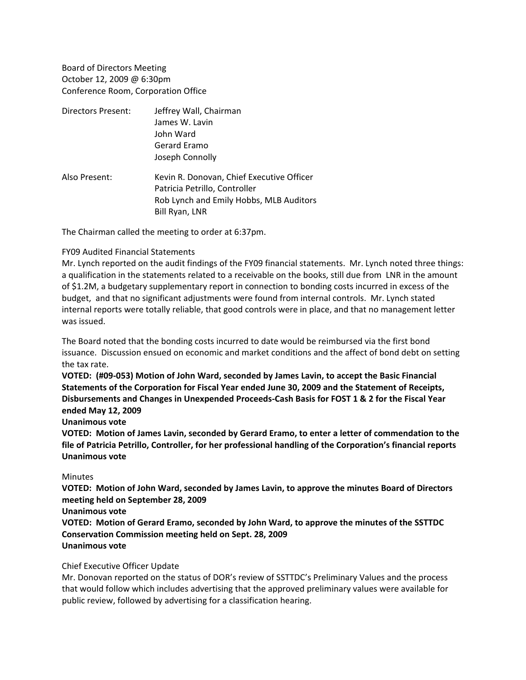Board of Directors Meeting October 12, 2009 @ 6:30pm Conference Room, Corporation Office

| Directors Present: | Jeffrey Wall, Chairman                    |
|--------------------|-------------------------------------------|
|                    | James W. Lavin                            |
|                    | John Ward                                 |
|                    | Gerard Eramo                              |
|                    | Joseph Connolly                           |
| Also Present:      | Kevin R. Donovan, Chief Executive Officer |
|                    | Patricia Petrillo, Controller             |
|                    | Rob Lynch and Emily Hobbs, MLB Auditors   |
|                    | Bill Ryan, LNR                            |

The Chairman called the meeting to order at 6:37pm.

### FY09 Audited Financial Statements

Mr. Lynch reported on the audit findings of the FY09 financial statements. Mr. Lynch noted three things: a qualification in the statements related to a receivable on the books, still due from LNR in the amount of \$1.2M, a budgetary supplementary report in connection to bonding costs incurred in excess of the budget, and that no significant adjustments were found from internal controls. Mr. Lynch stated internal reports were totally reliable, that good controls were in place, and that no management letter was issued.

The Board noted that the bonding costs incurred to date would be reimbursed via the first bond issuance. Discussion ensued on economic and market conditions and the affect of bond debt on setting the tax rate.

**VOTED: (#09‐053) Motion of John Ward, seconded by James Lavin, to accept the Basic Financial Statements of the Corporation for Fiscal Year ended June 30, 2009 and the Statement of Receipts, Disbursements and Changes in Unexpended Proceeds‐Cash Basis for FOST 1 & 2 for the Fiscal Year ended May 12, 2009**

### **Unanimous vote**

**VOTED: Motion of James Lavin, seconded by Gerard Eramo, to enter a letter of commendation to the file of Patricia Petrillo, Controller, for her professional handling of the Corporation's financial reports Unanimous vote**

#### **Minutes**

**VOTED: Motion of John Ward, seconded by James Lavin, to approve the minutes Board of Directors meeting held on September 28, 2009**

#### **Unanimous vote**

**VOTED: Motion of Gerard Eramo, seconded by John Ward, to approve the minutes of the SSTTDC Conservation Commission meeting held on Sept. 28, 2009 Unanimous vote**

### Chief Executive Officer Update

Mr. Donovan reported on the status of DOR's review of SSTTDC's Preliminary Values and the process that would follow which includes advertising that the approved preliminary values were available for public review, followed by advertising for a classification hearing.